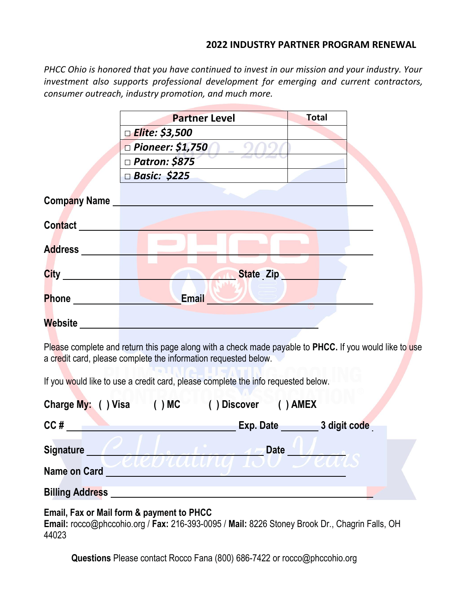#### **2022 INDUSTRY PARTNER PROGRAM RENEWAL**

*PHCC Ohio is honored that you have continued to invest in our mission and your industry. Your investment also supports professional development for emerging and current contractors, consumer outreach, industry promotion, and much more.* 

|                     | <b>Partner Level</b>    | <b>Total</b> |  |
|---------------------|-------------------------|--------------|--|
|                     | □ Elite: \$3,500        |              |  |
|                     | $\Box$ Pioneer: \$1,750 |              |  |
|                     | □ Patron: \$875         |              |  |
|                     | □ Basic: \$225          |              |  |
| <b>Company Name</b> |                         |              |  |
| <b>Contact</b>      |                         |              |  |
| <b>Address</b>      |                         |              |  |
| <b>City</b>         | State Zip               |              |  |
| <b>Phone</b>        | <b>Email</b>            |              |  |
| Website             |                         |              |  |

Please complete and return this page along with a check made payable to **PHCC.** If you would like to use a credit card, please complete the information requested below.

If you would like to use a credit card, please complete the info requested below.

| Charge My: ( ) Visa<br>( ) MC | ) Discover<br>$( )$ AMEX           |
|-------------------------------|------------------------------------|
| CC#                           | 3 digit code<br>$Exp.$ Date $\_\_$ |
| <b>Signature</b>              | <b>Date</b>                        |
| <b>Name on Card</b>           | JU UUUN UN TOU DEUIS               |
| <b>Billing Address</b>        |                                    |

### **Email, Fax or Mail form & payment to PHCC**

**Email:** rocco@phccohio.org / **Fax:** 216-393-0095 / **Mail:** 8226 Stoney Brook Dr., Chagrin Falls, OH 44023

**Questions** Please contact Rocco Fana (800) 686-7422 or rocco@phccohio.org